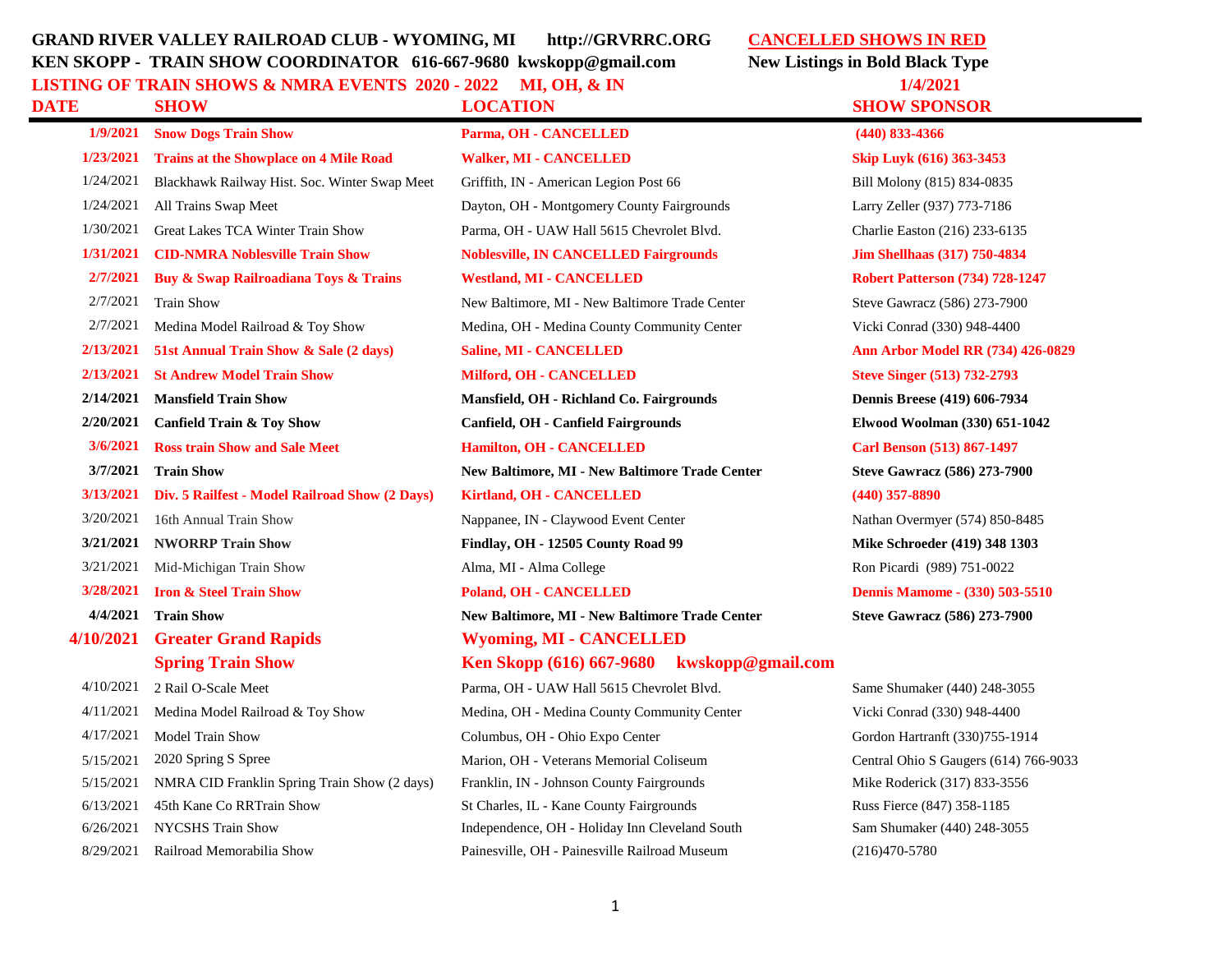## **GRAND RIVER VALLEY RAILROAD CLUB - WYOMING, MI http://GRVRRC.ORG CANCELLED SHOWS IN RED KEN SKOPP - TRAIN SHOW COORDINATOR 616-667-9680 kwskopp@gmail.com New Listings in Bold Black Type LISTING OF TRAIN SHOWS & NMRA EVENTS 2020 - 2022 MI, OH, & IN 1/4/2021**

**DATE SHOW LOCATION SHOW SPONSOR**

**1/23/2021 Trains at the Showplace on 4 Mile Road Walker, MI - CANCELLED Skip Luyk (616) 363-3453** 

| DATE      | <b>SHOW</b>                                          | <b>LOCATION</b>                                       | <b>SHOW SPO</b>         |
|-----------|------------------------------------------------------|-------------------------------------------------------|-------------------------|
| 1/9/2021  | <b>Snow Dogs Train Show</b>                          | Parma, OH - CANCELLED                                 | $(440)$ 833-4366        |
| 1/23/2021 | <b>Trains at the Showplace on 4 Mile Road</b>        | <b>Walker, MI - CANCELLED</b>                         | Skip Luyk (616          |
| 1/24/2021 | Blackhawk Railway Hist. Soc. Winter Swap Meet        | Griffith, IN - American Legion Post 66                | Bill Molony (81         |
| 1/24/2021 | All Trains Swap Meet                                 | Dayton, OH - Montgomery County Fairgrounds            | Larry Zeller (93        |
| 1/30/2021 | Great Lakes TCA Winter Train Show                    | Parma, OH - UAW Hall 5615 Chevrolet Blvd.             | Charlie Easton (        |
| 1/31/2021 | <b>CID-NMRA Noblesville Train Show</b>               | <b>Noblesville, IN CANCELLED Fairgrounds</b>          | <b>Jim Shellhaas</b> (  |
| 2/7/2021  | <b>Buy &amp; Swap Railroadiana Toys &amp; Trains</b> | <b>Westland, MI - CANCELLED</b>                       | <b>Robert Patterso</b>  |
| 2/7/2021  | <b>Train Show</b>                                    | New Baltimore, MI - New Baltimore Trade Center        | Steve Gawracz (         |
| 2/7/2021  | Medina Model Railroad & Toy Show                     | Medina, OH - Medina County Community Center           | Vicki Conrad (3         |
| 2/13/2021 | 51st Annual Train Show & Sale (2 days)               | <b>Saline, MI - CANCELLED</b>                         | <b>Ann Arbor Mo</b>     |
| 2/13/2021 | <b>St Andrew Model Train Show</b>                    | Milford, OH - CANCELLED                               | <b>Steve Singer (5)</b> |
| 2/14/2021 | <b>Mansfield Train Show</b>                          | Mansfield, OH - Richland Co. Fairgrounds              | <b>Dennis Breese</b> (  |
| 2/20/2021 | <b>Canfield Train &amp; Toy Show</b>                 | Canfield, OH - Canfield Fairgrounds                   | <b>Elwood Woolm</b>     |
| 3/6/2021  | <b>Ross train Show and Sale Meet</b>                 | Hamilton, OH - CANCELLED                              | <b>Carl Benson</b> (5)  |
| 3/7/2021  | <b>Train Show</b>                                    | New Baltimore, MI - New Baltimore Trade Center        | <b>Steve Gawracz</b>    |
| 3/13/2021 | Div. 5 Railfest - Model Railroad Show (2 Days)       | <b>Kirtland, OH - CANCELLED</b>                       | $(440)$ 357-8890        |
| 3/20/2021 | 16th Annual Train Show                               | Nappanee, IN - Claywood Event Center                  | Nathan Overmy           |
| 3/21/2021 | <b>NWORRP Train Show</b>                             | Findlay, OH - 12505 County Road 99                    | <b>Mike Schroeder</b>   |
| 3/21/2021 | Mid-Michigan Train Show                              | Alma, MI - Alma College                               | Ron Picardi (98         |
|           | 3/28/2021 Iron & Steel Train Show                    | <b>Poland, OH - CANCELLED</b>                         | <b>Dennis Mamon</b>     |
| 4/4/2021  | <b>Train Show</b>                                    | <b>New Baltimore, MI - New Baltimore Trade Center</b> | <b>Steve Gawracz</b>    |
| 4/10/2021 | <b>Greater Grand Rapids</b>                          | <b>Wyoming, MI - CANCELLED</b>                        |                         |
|           | <b>Spring Train Show</b>                             | Ken Skopp (616) 667-9680 kwskopp@gmail.com            |                         |
| 4/10/2021 | 2 Rail O-Scale Meet                                  | Parma, OH - UAW Hall 5615 Chevrolet Blvd.             | Same Shumaker           |
| 4/11/2021 | Medina Model Railroad & Toy Show                     | Medina, OH - Medina County Community Center           | Vicki Conrad (3         |
| 4/17/2021 | Model Train Show                                     | Columbus, OH - Ohio Expo Center                       | Gordon Hartran          |
| 5/15/2021 | 2020 Spring S Spree                                  | Marion, OH - Veterans Memorial Coliseum               | Central Ohio S          |
| 5/15/2021 | NMRA CID Franklin Spring Train Show (2 days)         | Franklin, IN - Johnson County Fairgrounds             | Mike Roderick (         |
| 6/13/2021 | 45th Kane Co RRTrain Show                            | St Charles, IL - Kane County Fairgrounds              | Russ Fierce (84)        |
| 6/26/2021 | <b>NYCSHS Train Show</b>                             | Independence, OH - Holiday Inn Cleveland South        | Sam Shumaker            |

Bill Molony (815) 834-0835 Larry Zeller (937) 773-7186 Charlie Easton (216) 233-6135 **1/31/2021 CID-NMRA Noblesville Train Show Noblesville, IN CANCELLED Fairgrounds Jim Shellhaas (317) 750-4834 2/7/2021 Buy & Swap Railroadiana Toys & Trains Westland, MI - CANCELLED Robert Patterson (734) 728-1247** Steve Gawracz (586) 273-7900 Vicki Conrad (330) 948-4400 **2/13/2021 51st Annual Train Show & Sale (2 days) Saline, MI - CANCELLED Ann Arbor Model RR (734) 426-0829 2/13/2021 St Andrew Model Train Show Milford, OH - CANCELLED Steve Singer (513) 732-2793 2/14/2021 Mansfield Train Show Mansfield, OH - Richland Co. Fairgrounds Dennis Breese (419) 606-7934 2/20/2021 Canfield Train & Toy Show Canfield, OH - Canfield Fairgrounds Elwood Woolman (330) 651-1042 3/6/2021 Ross train Show and Sale Meet Hamilton, OH - CANCELLED Carl Benson (513) 867-1497 3/7/2021 Train Show New Baltimore, MI - New Baltimore Trade Center Steve Gawracz (586) 273-7900** Nathan Overmyer (574) 850-8485 **3/21/2021 NWORRP Train Show Findlay, OH - 12505 County Road 99 Mike Schroeder (419) 348 1303** Ron Picardi (989) 751-0022 **Dennis Mamome - (330) 503-5510 4/4/2021 Train Show New Baltimore, MI - New Baltimore Trade Center Steve Gawracz (586) 273-7900**

Same Shumaker (440) 248-3055 Vicki Conrad (330) 948-4400 Gordon Hartranft (330)755-1914 Central Ohio S Gaugers (614) 766-9033 Mike Roderick (317) 833-3556 Russ Fierce (847) 358-1185 Sam Shumaker (440) 248-3055 8/29/2021 Railroad Memorabilia Show Painesville, OH - Painesville Railroad Museum (216)470-5780